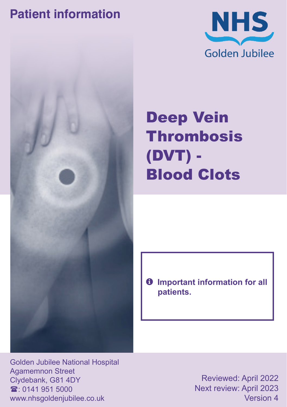## **Patient information**





# Deep Vein **Thrombosis** (DVT) - Blood Clots

 $\theta$  Important information for all **patients.**

Golden Jubilee National Hospital Agamemnon Street Clydebank, G81 4DY  $\mathbf{\hat{x}}$  0141 951 5000 www.nhsgoldenjubilee.co.uk

Reviewed: April 2022 Next review: April 2023 Version 4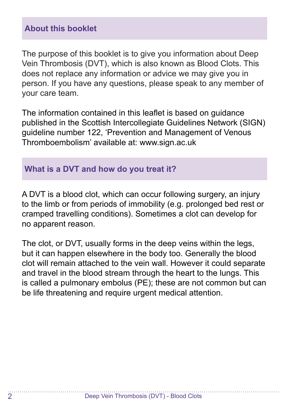#### **About this booklet**

The purpose of this booklet is to give you information about Deep Vein Thrombosis (DVT), which is also known as Blood Clots. This does not replace any information or advice we may give you in person. If you have any questions, please speak to any member of your care team.

The information contained in this leaflet is based on guidance published in the Scottish Intercollegiate Guidelines Network (SIGN) guideline number 122, 'Prevention and Management of Venous Thromboembolism' available at: www.sign.ac.uk

#### **What is a DVT and how do you treat it?**

A DVT is a blood clot, which can occur following surgery, an injury to the limb or from periods of immobility (e.g. prolonged bed rest or cramped travelling conditions). Sometimes a clot can develop for no apparent reason.

The clot, or DVT, usually forms in the deep veins within the legs, but it can happen elsewhere in the body too. Generally the blood clot will remain attached to the vein wall. However it could separate and travel in the blood stream through the heart to the lungs. This is called a pulmonary embolus (PE); these are not common but can be life threatening and require urgent medical attention.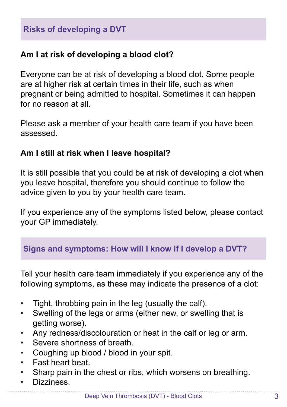### **Am I at risk of developing a blood clot?**

Everyone can be at risk of developing a blood clot. Some people are at higher risk at certain times in their life, such as when pregnant or being admitted to hospital. Sometimes it can happen for no reason at all

Please ask a member of your health care team if you have been assessed.

#### **Am I still at risk when I leave hospital?**

It is still possible that you could be at risk of developing a clot when you leave hospital, therefore you should continue to follow the advice given to you by your health care team.

If you experience any of the symptoms listed below, please contact your GP immediately.

### **Signs and symptoms: How will I know if I develop a DVT?**

Tell your health care team immediately if you experience any of the following symptoms, as these may indicate the presence of a clot:

- Tight, throbbing pain in the leg (usually the calf).
- Swelling of the legs or arms (either new, or swelling that is getting worse).
- Any redness/discolouration or heat in the calf or leg or arm.
- Severe shortness of breath.
- Coughing up blood / blood in your spit.
- Fast heart beat.
- Sharp pain in the chest or ribs, which worsens on breathing.
- Dizziness.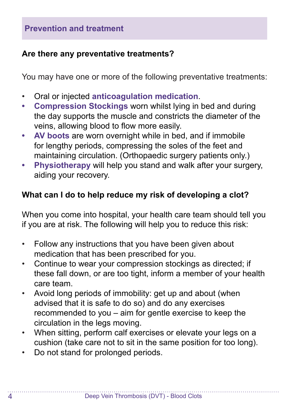#### **Are there any preventative treatments?**

You may have one or more of the following preventative treatments:

- Oral or injected **anticoagulation medication**.
- **• Compression Stockings** worn whilst lying in bed and during the day supports the muscle and constricts the diameter of the veins, allowing blood to flow more easily.
- **• AV boots** are worn overnight while in bed, and if immobile for lengthy periods, compressing the soles of the feet and maintaining circulation. (Orthopaedic surgery patients only.)
- **• Physiotherapy** will help you stand and walk after your surgery, aiding your recovery.

#### **What can I do to help reduce my risk of developing a clot?**

When you come into hospital, your health care team should tell you if you are at risk. The following will help you to reduce this risk:

- Follow any instructions that you have been given about medication that has been prescribed for you.
- Continue to wear your compression stockings as directed; if these fall down, or are too tight, inform a member of your health care team.
- Avoid long periods of immobility: get up and about (when advised that it is safe to do so) and do any exercises recommended to you – aim for gentle exercise to keep the circulation in the legs moving.
- When sitting, perform calf exercises or elevate your legs on a cushion (take care not to sit in the same position for too long).
- Do not stand for prolonged periods.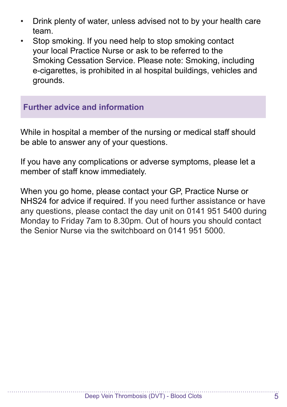- Drink plenty of water, unless advised not to by your health care team.
- Stop smoking. If you need help to stop smoking contact your local Practice Nurse or ask to be referred to the Smoking Cessation Service. Please note: Smoking, including e-cigarettes, is prohibited in al hospital buildings, vehicles and grounds.

#### **Further advice and information**

While in hospital a member of the nursing or medical staff should be able to answer any of your questions.

If you have any complications or adverse symptoms, please let a member of staff know immediately.

When you go home, please contact your GP, Practice Nurse or NHS24 for advice if required. If you need further assistance or have any questions, please contact the day unit on 0141 951 5400 during Monday to Friday 7am to 8.30pm. Out of hours you should contact the Senior Nurse via the switchboard on 0141 951 5000.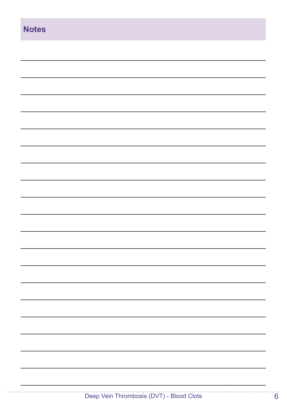| <b>Notes</b> |  |
|--------------|--|
|              |  |
|              |  |
|              |  |
|              |  |
|              |  |
|              |  |
|              |  |
|              |  |
|              |  |
|              |  |
|              |  |
|              |  |
|              |  |
|              |  |
|              |  |
|              |  |
|              |  |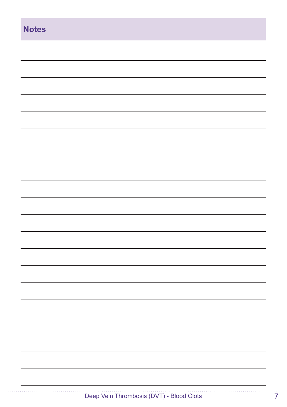| <b>Notes</b> |  |
|--------------|--|
|              |  |
|              |  |
|              |  |
|              |  |
|              |  |
|              |  |
|              |  |
|              |  |
|              |  |
|              |  |
|              |  |
|              |  |
|              |  |
|              |  |
|              |  |
|              |  |
|              |  |